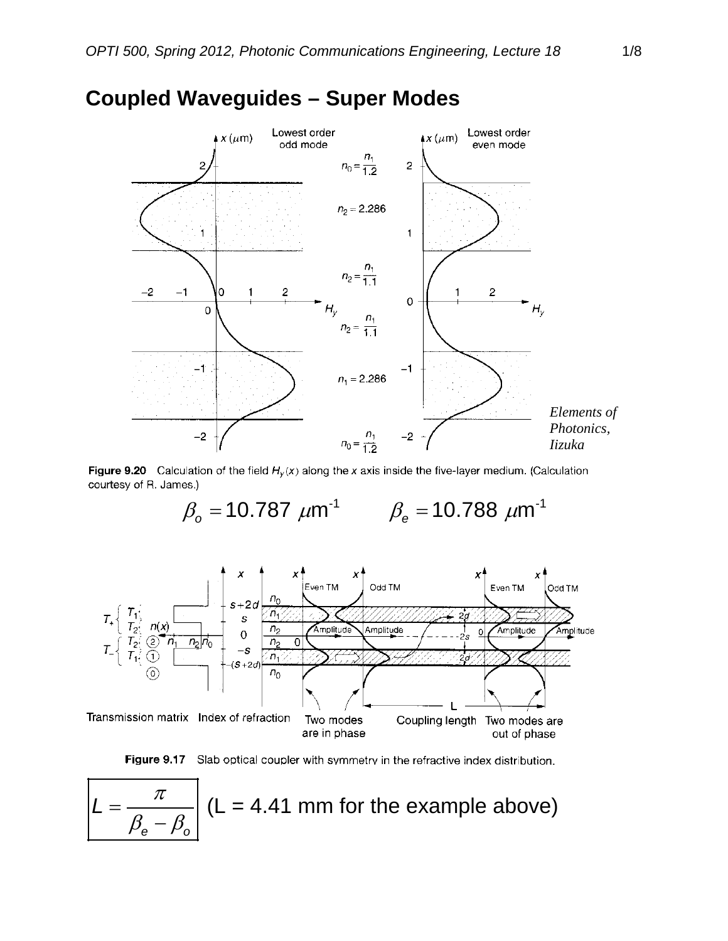

## **Coupled Waveguides – Super Modes**

Figure 9.20 Calculation of the field  $H_y(x)$  along the x axis inside the five-layer medium. (Calculation courtesy of R. James.)

 $\beta_{\rm o} = 10.787 \ \mu m^{-1} \qquad \beta_{\rm e} = 10.788 \ \mu m^{-1}$ 





$$
L = \frac{\pi}{\beta_e - \beta_o}
$$
 (L = 4.41 mm for the example above)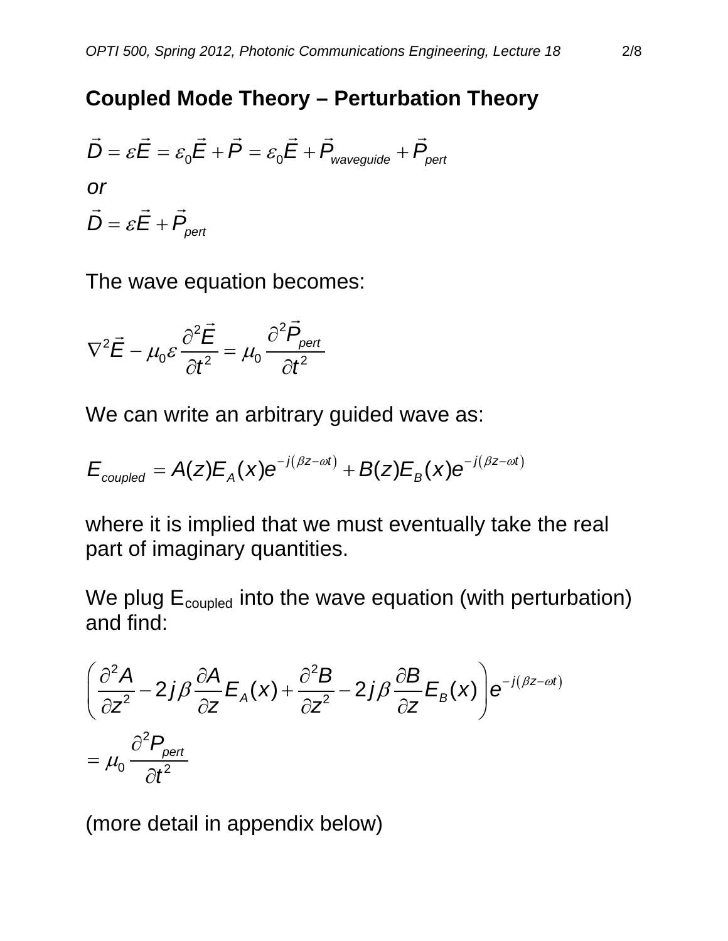## **Coupled Mode Theory – Perturbation Theory**

$$
\vec{D} = \varepsilon \vec{E} = \varepsilon_0 \vec{E} + \vec{P} = \varepsilon_0 \vec{E} + \vec{P}_{\text{waveguide}} + \vec{P}_{\text{pert}}
$$
  
or  

$$
\vec{D} = \varepsilon \vec{E} + \vec{P}_{\text{pert}}
$$

The wave equation becomes:

$$
\nabla^2 \vec{E} - \mu_0 \varepsilon \frac{\partial^2 \vec{E}}{\partial t^2} = \mu_0 \frac{\partial^2 \vec{P}_{\text{pert}}}{\partial t^2}
$$

We can write an arbitrary guided wave as:

$$
E_{\text{coupled}} = A(z)E_A(x)e^{-j(\beta z - \omega t)} + B(z)E_B(x)e^{-j(\beta z - \omega t)}
$$

where it is implied that we must eventually take the real part of imaginary quantities.

We plug  $E_{\text{coupled}}$  into the wave equation (with perturbation) and find:

$$
\left(\frac{\partial^2 A}{\partial z^2} - 2j\beta \frac{\partial A}{\partial z} E_A(x) + \frac{\partial^2 B}{\partial z^2} - 2j\beta \frac{\partial B}{\partial z} E_B(x)\right) e^{-j(\beta z - \omega t)}
$$
  
=  $\mu_0 \frac{\partial^2 P_{pert}}{\partial t^2}$ 

(more detail in appendix below)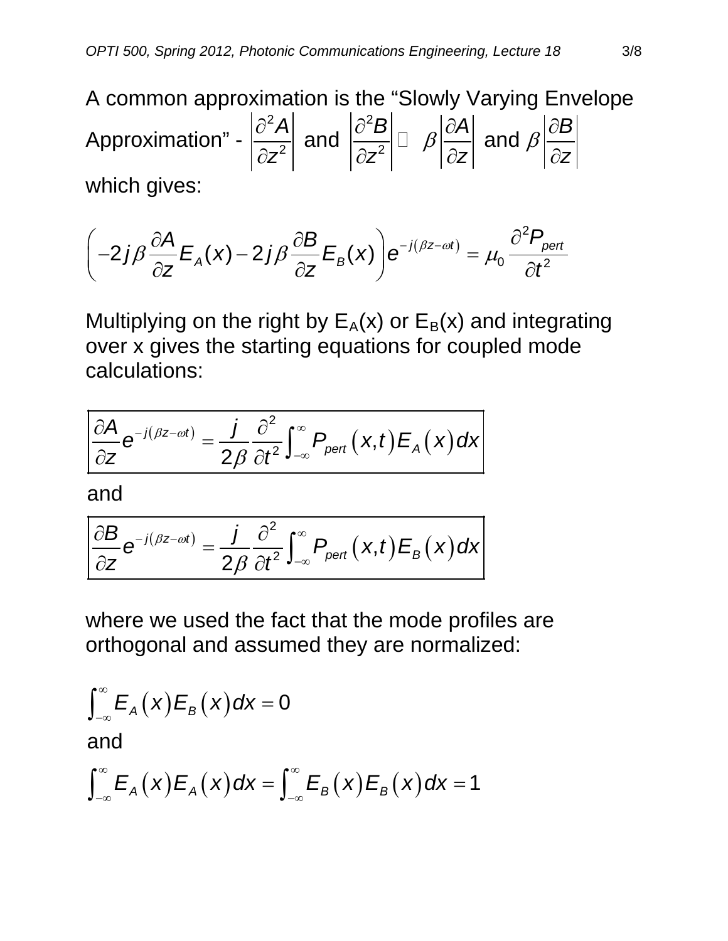A common approximation is the "Slowly Varying Envelope Approximation" -  $\frac{d^2A}{dr^2}$  and  $\frac{\partial^2B}{\partial r^2}$   $\Box$   $\beta \frac{\partial A}{\partial z}$  and  $\beta \frac{\partial B}{\partial z}$  $|z^2|$   $|\partial z^2|$   $|\partial z|$   $|\partial z|$  $\frac{\partial^2 A}{\partial \phi^2}$  and  $\frac{\partial^2 B}{\partial \phi^2}$   $\Box$   $\beta \frac{\partial A}{\partial \phi}$  and  $\beta \frac{\partial}{\partial \phi}$  $\partial z^2$  |  $\partial z^2$  |  $\int$  |  $\partial z$  |  $\partial z$  |  $\partial$  |  $\partial$  which gives:

$$
\left(-2j\beta\frac{\partial A}{\partial z}E_A(x)-2j\beta\frac{\partial B}{\partial z}E_B(x)\right)e^{-j(\beta z-\omega t)}=\mu_0\frac{\partial^2 P_{pert}}{\partial t^2}
$$

Multiplying on the right by  $E_A(x)$  or  $E_B(x)$  and integrating over x gives the starting equations for coupled mode calculations:

$$
\frac{\partial A}{\partial z}e^{-j(\beta z-\omega t)}=\frac{j}{2\beta}\frac{\partial^2}{\partial t^2}\int_{-\infty}^{\infty}P_{\text{pert}}(x,t)E_{A}(x)dx
$$

and

$$
\frac{\partial B}{\partial z}e^{-j(\beta z-\omega t)}=\frac{j}{2\beta}\frac{\partial^2}{\partial t^2}\int_{-\infty}^{\infty}P_{\text{pert}}(x,t)E_{\text{B}}(x)dx
$$

where we used the fact that the mode profiles are orthogonal and assumed they are normalized:

$$
\int_{-\infty}^{\infty} E_A(x) E_B(x) dx = 0
$$
  
and  

$$
\int_{-\infty}^{\infty} E_A(x) E_A(x) dx = \int_{-\infty}^{\infty} E_B(x) E_B(x) dx = 1
$$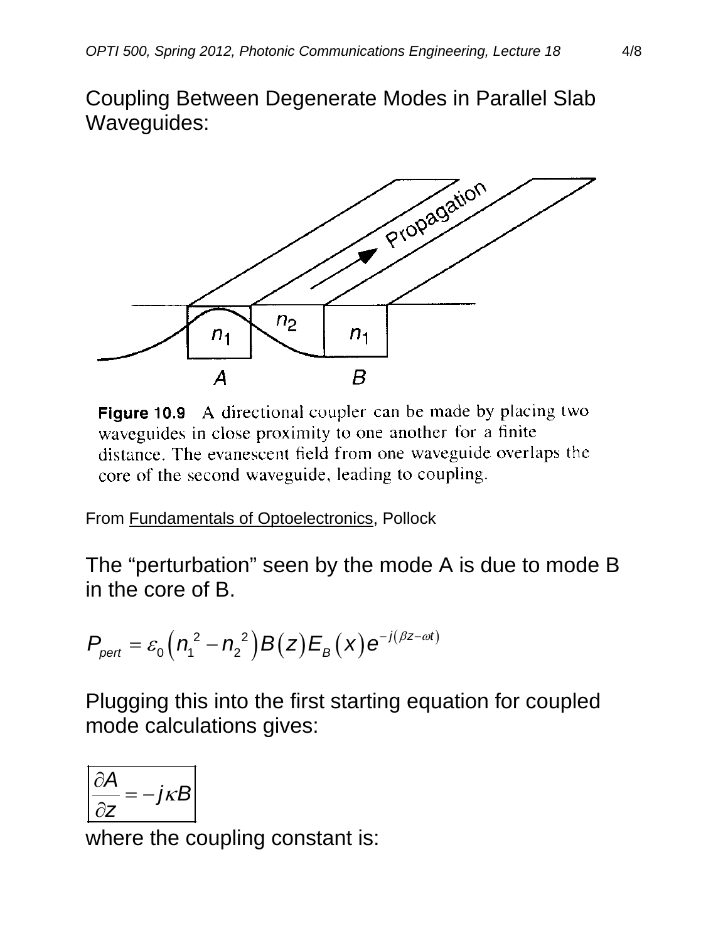Coupling Between Degenerate Modes in Parallel Slab Waveguides:



**Figure 10.9** A directional coupler can be made by placing two waveguides in close proximity to one another for a finite distance. The evanescent field from one waveguide overlaps the core of the second waveguide, leading to coupling.

From Fundamentals of Optoelectronics, Pollock

The "perturbation" seen by the mode A is due to mode B in the core of B.

$$
P_{\text{pert}} = \varepsilon_0 \left( n_1^2 - n_2^2 \right) B(z) E_B(x) e^{-j(\beta z - \omega t)}
$$

Plugging this into the first starting equation for coupled mode calculations gives:

$$
\left|\frac{\partial A}{\partial z} = -j\kappa B\right|
$$

where the coupling constant is: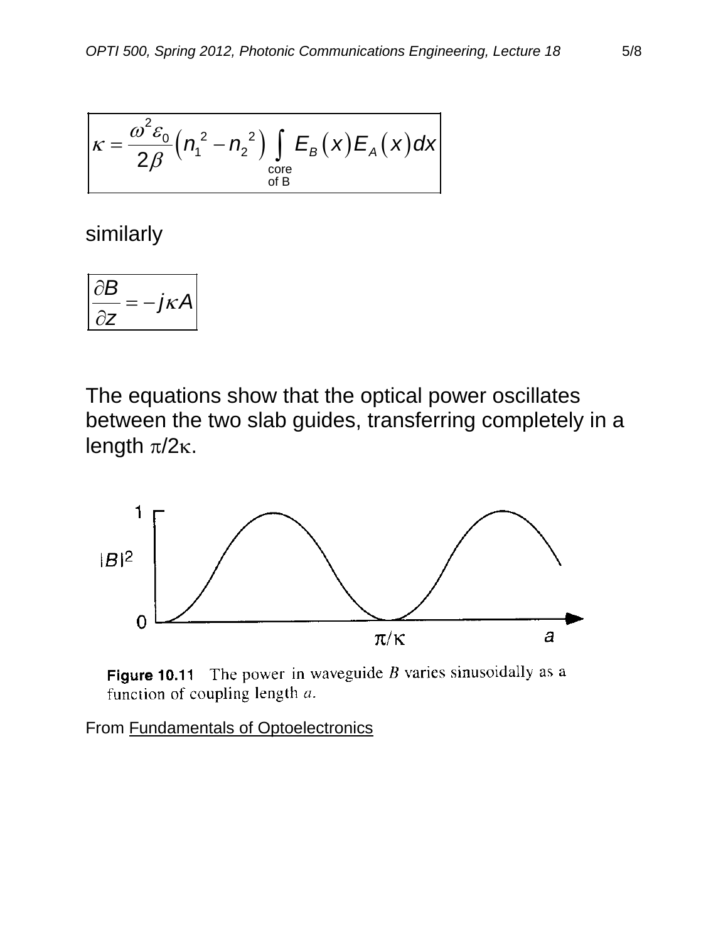$$
\kappa = \frac{\omega^2 \varepsilon_0}{2\beta} \left( n_1^2 - n_2^2 \right) \int_{\substack{\text{core} \\ \text{of B}}} E_B(x) E_A(x) dx
$$

similarly

$$
\frac{\partial B}{\partial z} = -j\kappa A
$$

The equations show that the optical power oscillates between the two slab guides, transferring completely in a length  $π/2κ$ .



Figure 10.11 The power in waveguide  $B$  varies sinusoidally as a function of coupling length  $a$ .

From Fundamentals of Optoelectronics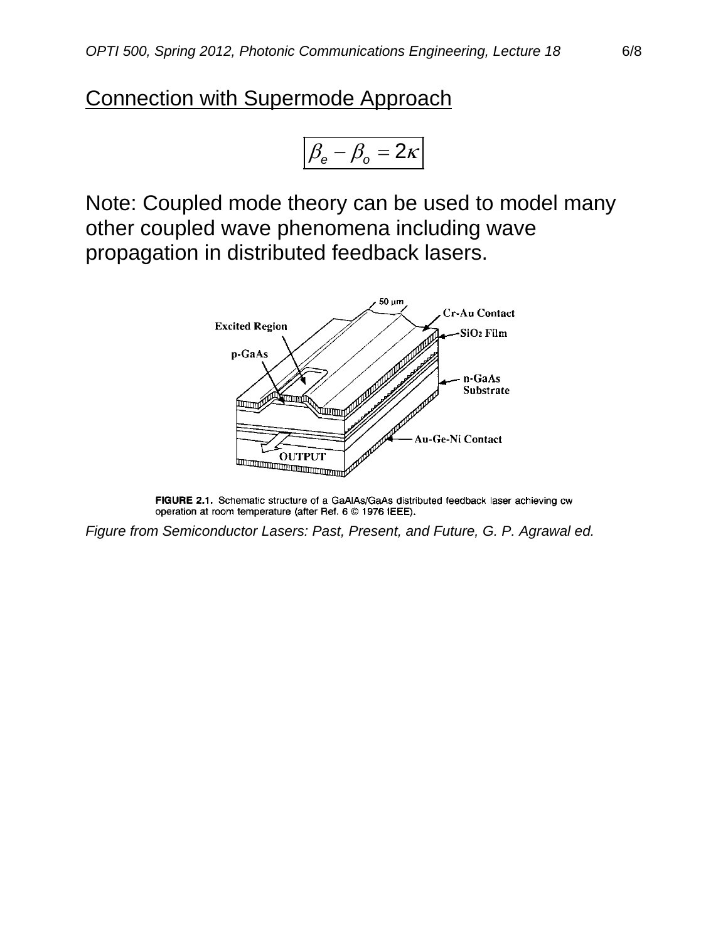## Connection with Supermode Approach

$$
\left|\beta_{\rm e}-\beta_{\rm o}=2\kappa\right|
$$

Note: Coupled mode theory can be used to model many other coupled wave phenomena including wave propagation in distributed feedback lasers.



FIGURE 2.1. Schematic structure of a GaAlAs/GaAs distributed feedback laser achieving cw operation at room temperature (after Ref. 6 © 1976 IEEE).

*Figure from Semiconductor Lasers: Past, Present, and Future, G. P. Agrawal ed.*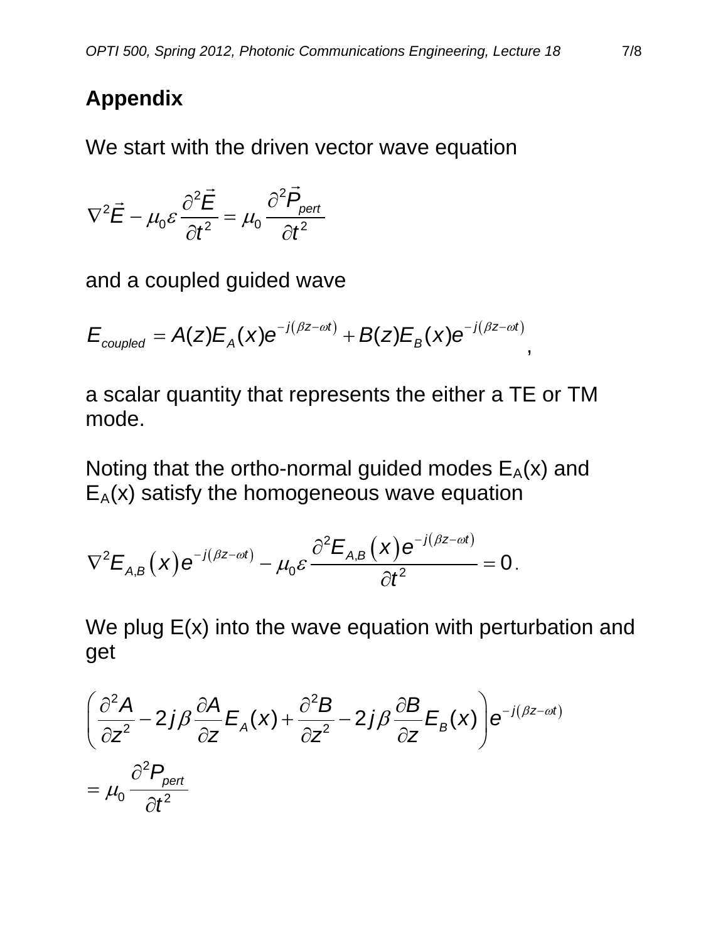## **Appendix**

We start with the driven vector wave equation

$$
\nabla^2 \vec{E} - \mu_0 \varepsilon \frac{\partial^2 \vec{E}}{\partial t^2} = \mu_0 \frac{\partial^2 \vec{P}_{\text{pert}}}{\partial t^2}
$$

and a coupled guided wave

$$
E_{\textit{coupled}} = A(z)E_A(x)e^{-j(\beta z - \omega t)} + B(z)E_B(x)e^{-j(\beta z - \omega t)},
$$

a scalar quantity that represents the either a TE or TM mode.

Noting that the ortho-normal guided modes  $E_A(x)$  and  $E_A(x)$  satisfy the homogeneous wave equation

$$
\nabla^2 E_{A,B}\left(x\right) e^{-j(\beta z - \omega t)} - \mu_0 \varepsilon \frac{\partial^2 E_{A,B}\left(x\right) e^{-j(\beta z - \omega t)}}{\partial t^2} = 0.
$$

We plug  $E(x)$  into the wave equation with perturbation and get

$$
\left(\frac{\partial^2 A}{\partial z^2} - 2j\beta \frac{\partial A}{\partial z} E_A(x) + \frac{\partial^2 B}{\partial z^2} - 2j\beta \frac{\partial B}{\partial z} E_B(x)\right) e^{-j(\beta z - \omega t)}
$$
  
=  $\mu_0 \frac{\partial^2 P_{pert}}{\partial t^2}$